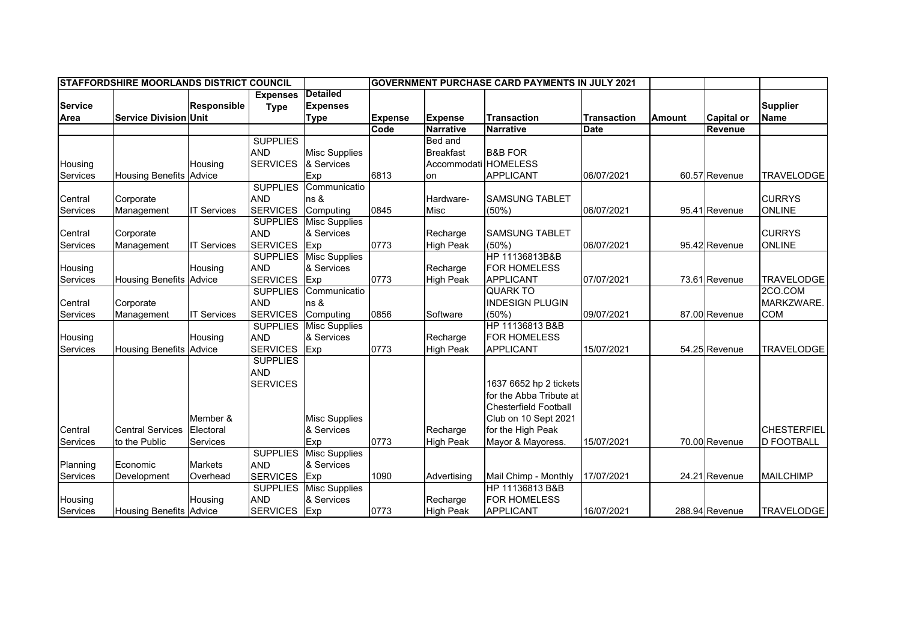| <b>STAFFORDSHIRE MOORLANDS DISTRICT COUNCIL</b> |                                |                    |                 |                      | <b>GOVERNMENT PURCHASE CARD PAYMENTS IN JULY 2021</b> |                      |                              |                    |               |                   |                    |
|-------------------------------------------------|--------------------------------|--------------------|-----------------|----------------------|-------------------------------------------------------|----------------------|------------------------------|--------------------|---------------|-------------------|--------------------|
|                                                 |                                |                    | <b>Expenses</b> | <b>Detailed</b>      |                                                       |                      |                              |                    |               |                   |                    |
| <b>Service</b>                                  |                                | <b>Responsible</b> | <b>Type</b>     | <b>Expenses</b>      |                                                       |                      |                              |                    |               |                   | <b>Supplier</b>    |
| Area                                            | <b>Service Division Unit</b>   |                    |                 | <b>Type</b>          | <b>Expense</b>                                        | <b>Expense</b>       | <b>Transaction</b>           | <b>Transaction</b> | <b>Amount</b> | <b>Capital or</b> | <b>Name</b>        |
|                                                 |                                |                    |                 |                      | Code                                                  | <b>Narrative</b>     | <b>Narrative</b>             | <b>Date</b>        |               | Revenue           |                    |
|                                                 |                                |                    | <b>SUPPLIES</b> |                      |                                                       | <b>Bed</b> and       |                              |                    |               |                   |                    |
|                                                 |                                |                    | <b>AND</b>      | <b>Misc Supplies</b> |                                                       | <b>Breakfast</b>     | <b>B&amp;B FOR</b>           |                    |               |                   |                    |
| Housing                                         |                                | Housing            | <b>SERVICES</b> | & Services           |                                                       | Accommodati HOMELESS |                              |                    |               |                   |                    |
| Services                                        | <b>Housing Benefits Advice</b> |                    |                 | Exp                  | 6813                                                  | on                   | <b>APPLICANT</b>             | 06/07/2021         |               | 60.57 Revenue     | <b>TRAVELODGE</b>  |
|                                                 |                                |                    | <b>SUPPLIES</b> | Communicatio         |                                                       |                      |                              |                    |               |                   |                    |
| Central                                         | Corporate                      |                    | <b>AND</b>      | ns &                 |                                                       | Hardware-            | <b>SAMSUNG TABLET</b>        |                    |               |                   | <b>CURRYS</b>      |
| Services                                        | Management                     | <b>IT Services</b> | <b>SERVICES</b> | Computing            | 0845                                                  | Misc                 | (50%)                        | 06/07/2021         |               | 95.41 Revenue     | <b>ONLINE</b>      |
|                                                 |                                |                    | <b>SUPPLIES</b> | <b>Misc Supplies</b> |                                                       |                      |                              |                    |               |                   |                    |
| Central                                         | Corporate                      |                    | <b>AND</b>      | & Services           |                                                       | Recharge             | <b>SAMSUNG TABLET</b>        |                    |               |                   | <b>CURRYS</b>      |
| Services                                        | Management                     | <b>IT Services</b> | <b>SERVICES</b> | Exp                  | 0773                                                  | <b>High Peak</b>     | (50%                         | 06/07/2021         |               | 95.42 Revenue     | <b>ONLINE</b>      |
|                                                 |                                |                    | <b>SUPPLIES</b> | <b>Misc Supplies</b> |                                                       |                      | HP 11136813B&B               |                    |               |                   |                    |
| Housing                                         |                                | Housing            | <b>AND</b>      | & Services           |                                                       | Recharge             | FOR HOMELESS                 |                    |               |                   |                    |
| Services                                        | <b>Housing Benefits Advice</b> |                    | <b>SERVICES</b> | Exp                  | 0773                                                  | <b>High Peak</b>     | <b>APPLICANT</b>             | 07/07/2021         |               | 73.61 Revenue     | <b>TRAVELODGE</b>  |
|                                                 |                                |                    | <b>SUPPLIES</b> | Communicatio         |                                                       |                      | <b>QUARK TO</b>              |                    |               |                   | 2CO.COM            |
| Central                                         | Corporate                      |                    | <b>AND</b>      | ns &                 |                                                       |                      | <b>INDESIGN PLUGIN</b>       |                    |               |                   | MARKZWARE.         |
| Services                                        | Management                     | <b>IT Services</b> | <b>SERVICES</b> | Computing            | 0856                                                  | Software             | (50%)                        | 09/07/2021         |               | 87.00 Revenue     | <b>COM</b>         |
|                                                 |                                |                    | <b>SUPPLIES</b> | <b>Misc Supplies</b> |                                                       |                      | HP 11136813 B&B              |                    |               |                   |                    |
| Housing                                         |                                | Housing            | <b>AND</b>      | & Services           |                                                       | Recharge             | <b>FOR HOMELESS</b>          |                    |               |                   |                    |
| Services                                        | <b>Housing Benefits Advice</b> |                    | <b>SERVICES</b> | Exp                  | 0773                                                  | <b>High Peak</b>     | <b>APPLICANT</b>             | 15/07/2021         |               | 54.25 Revenue     | <b>TRAVELODGE</b>  |
|                                                 |                                |                    | <b>SUPPLIES</b> |                      |                                                       |                      |                              |                    |               |                   |                    |
|                                                 |                                |                    | <b>AND</b>      |                      |                                                       |                      |                              |                    |               |                   |                    |
|                                                 |                                |                    | <b>SERVICES</b> |                      |                                                       |                      | 1637 6652 hp 2 tickets       |                    |               |                   |                    |
|                                                 |                                |                    |                 |                      |                                                       |                      | for the Abba Tribute at      |                    |               |                   |                    |
|                                                 |                                |                    |                 |                      |                                                       |                      | <b>Chesterfield Football</b> |                    |               |                   |                    |
|                                                 |                                | Member &           |                 | <b>Misc Supplies</b> |                                                       |                      | Club on 10 Sept 2021         |                    |               |                   |                    |
| Central                                         | <b>Central Services</b>        | Electoral          |                 | & Services           |                                                       | Recharge             | for the High Peak            |                    |               |                   | <b>CHESTERFIEL</b> |
| Services                                        | to the Public                  | Services           |                 | Exp                  | 0773                                                  | <b>High Peak</b>     | Mayor & Mayoress.            | 15/07/2021         |               | 70.00 Revenue     | <b>D FOOTBALL</b>  |
|                                                 |                                |                    | <b>SUPPLIES</b> | <b>Misc Supplies</b> |                                                       |                      |                              |                    |               |                   |                    |
| Planning                                        | Economic                       | <b>Markets</b>     | <b>AND</b>      | & Services           |                                                       |                      |                              |                    |               |                   |                    |
| Services                                        | Development                    | Overhead           | <b>SERVICES</b> | Exp                  | 1090                                                  | Advertising          | Mail Chimp - Monthly         | 17/07/2021         |               | 24.21 Revenue     | <b>MAILCHIMP</b>   |
|                                                 |                                |                    | <b>SUPPLIES</b> | <b>Misc Supplies</b> |                                                       |                      | HP 11136813 B&B              |                    |               |                   |                    |
| Housing                                         |                                | Housing            | <b>AND</b>      | & Services           |                                                       | Recharge             | FOR HOMELESS                 |                    |               |                   |                    |
| Services                                        | <b>Housing Benefits Advice</b> |                    | <b>SERVICES</b> | Exp                  | 0773                                                  | <b>High Peak</b>     | <b>APPLICANT</b>             | 16/07/2021         |               | 288.94 Revenue    | <b>TRAVELODGE</b>  |